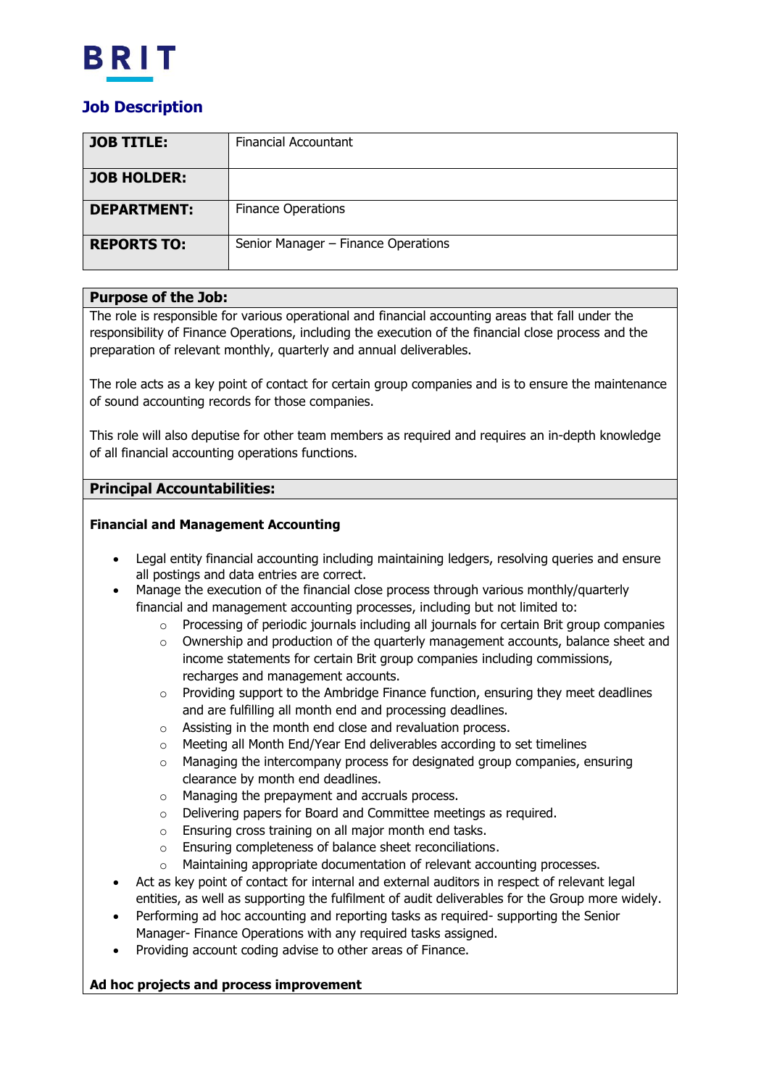

# **Job Description**

| <b>JOB TITLE:</b>  | <b>Financial Accountant</b>         |
|--------------------|-------------------------------------|
| <b>JOB HOLDER:</b> |                                     |
| <b>DEPARTMENT:</b> | <b>Finance Operations</b>           |
| <b>REPORTS TO:</b> | Senior Manager - Finance Operations |

### **Purpose of the Job:**

The role is responsible for various operational and financial accounting areas that fall under the responsibility of Finance Operations, including the execution of the financial close process and the preparation of relevant monthly, quarterly and annual deliverables.

The role acts as a key point of contact for certain group companies and is to ensure the maintenance of sound accounting records for those companies.

This role will also deputise for other team members as required and requires an in-depth knowledge of all financial accounting operations functions.

## **Principal Accountabilities:**

### **Financial and Management Accounting**

- Legal entity financial accounting including maintaining ledgers, resolving queries and ensure all postings and data entries are correct.
- Manage the execution of the financial close process through various monthly/quarterly financial and management accounting processes, including but not limited to:
	- $\circ$  Processing of periodic journals including all journals for certain Brit group companies
	- $\circ$  Ownership and production of the quarterly management accounts, balance sheet and income statements for certain Brit group companies including commissions, recharges and management accounts.
	- $\circ$  Providing support to the Ambridge Finance function, ensuring they meet deadlines and are fulfilling all month end and processing deadlines.
	- o Assisting in the month end close and revaluation process.
	- o Meeting all Month End/Year End deliverables according to set timelines
	- o Managing the intercompany process for designated group companies, ensuring clearance by month end deadlines.
	- o Managing the prepayment and accruals process.
	- o Delivering papers for Board and Committee meetings as required.
	- o Ensuring cross training on all major month end tasks.
	- o Ensuring completeness of balance sheet reconciliations.
	- o Maintaining appropriate documentation of relevant accounting processes.
- Act as key point of contact for internal and external auditors in respect of relevant legal entities, as well as supporting the fulfilment of audit deliverables for the Group more widely.
- Performing ad hoc accounting and reporting tasks as required- supporting the Senior Manager- Finance Operations with any required tasks assigned.
- Providing account coding advise to other areas of Finance.

#### **Ad hoc projects and process improvement**